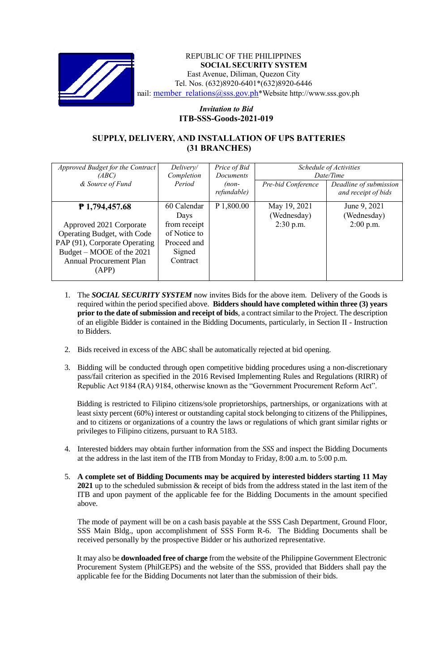

REPUBLIC OF THE PHILIPPINES **SOCIAL SECURITY SYSTEM** East Avenue, Diliman, Quezon City Tel. Nos. (632)8920-6401\*(632)8920-6446 nail: member\_relations@sss.gov.ph\*Website http://www.sss.gov.ph

## *Invitation to Bid*  **ITB-SSS-Goods-2021-019**

## **SUPPLY, DELIVERY, AND INSTALLATION OF UPS BATTERIES (31 BRANCHES)**

| Approved Budget for the Contract | Delivery/    | Price of Bid | Schedule of Activities |                        |
|----------------------------------|--------------|--------------|------------------------|------------------------|
| (ABC)                            | Completion   | Documents    | Date/Time              |                        |
| & Source of Fund                 | Period       | $(non-$      | Pre-bid Conference     | Deadline of submission |
|                                  |              | refundable)  |                        | and receipt of bids    |
|                                  | 60 Calendar  | P 1,800.00   | May 19, 2021           | June 9, 2021           |
| ₱ 1,794,457.68                   |              |              |                        |                        |
|                                  | Days         |              | (Wednesday)            | (Wednesday)            |
| Approved 2021 Corporate          | from receipt |              | $2:30$ p.m.            | $2:00$ p.m.            |
| Operating Budget, with Code      | of Notice to |              |                        |                        |
| PAP (91), Corporate Operating    | Proceed and  |              |                        |                        |
| Budget – MOOE of the 2021        | Signed       |              |                        |                        |
| <b>Annual Procurement Plan</b>   | Contract     |              |                        |                        |
| (APP)                            |              |              |                        |                        |
|                                  |              |              |                        |                        |

- 1. The *SOCIAL SECURITY SYSTEM* now invites Bids for the above item. Delivery of the Goods is required within the period specified above. **Bidders should have completed within three (3) years prior to the date of submission and receipt of bids**, a contract similar to the Project. The description of an eligible Bidder is contained in the Bidding Documents, particularly, in Section II - Instruction to Bidders.
- 2. Bids received in excess of the ABC shall be automatically rejected at bid opening.
- 3. Bidding will be conducted through open competitive bidding procedures using a non-discretionary pass/fail criterion as specified in the 2016 Revised Implementing Rules and Regulations (RIRR) of Republic Act 9184 (RA) 9184, otherwise known as the "Government Procurement Reform Act".

Bidding is restricted to Filipino citizens/sole proprietorships, partnerships, or organizations with at least sixty percent (60%) interest or outstanding capital stock belonging to citizens of the Philippines, and to citizens or organizations of a country the laws or regulations of which grant similar rights or privileges to Filipino citizens, pursuant to RA 5183.

- 4. Interested bidders may obtain further information from the *SSS* and inspect the Bidding Documents at the address in the last item of the ITB from Monday to Friday, 8:00 a.m. to 5:00 p.m.
- 5. **A complete set of Bidding Documents may be acquired by interested bidders starting 11 May 2021** up to the scheduled submission & receipt of bids from the address stated in the last item of the ITB and upon payment of the applicable fee for the Bidding Documents in the amount specified above.

The mode of payment will be on a cash basis payable at the SSS Cash Department, Ground Floor, SSS Main Bldg., upon accomplishment of SSS Form R-6. The Bidding Documents shall be received personally by the prospective Bidder or his authorized representative.

It may also be **downloaded free of charge** from the website of the Philippine Government Electronic Procurement System (PhilGEPS) and the website of the SSS*,* provided that Bidders shall pay the applicable fee for the Bidding Documents not later than the submission of their bids.